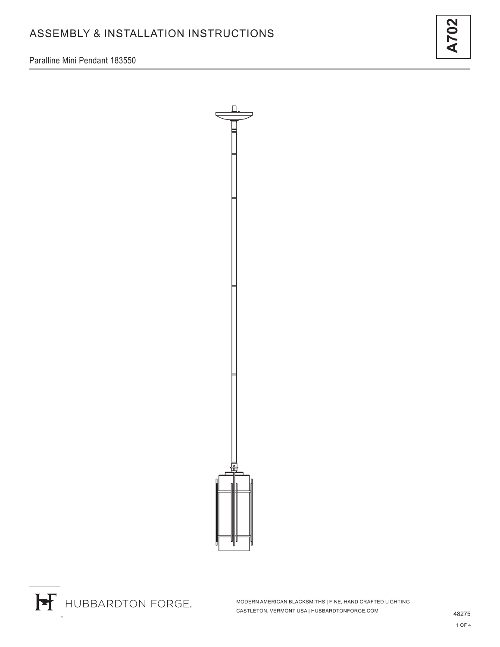Paralline Mini Pendant 183550



**A702**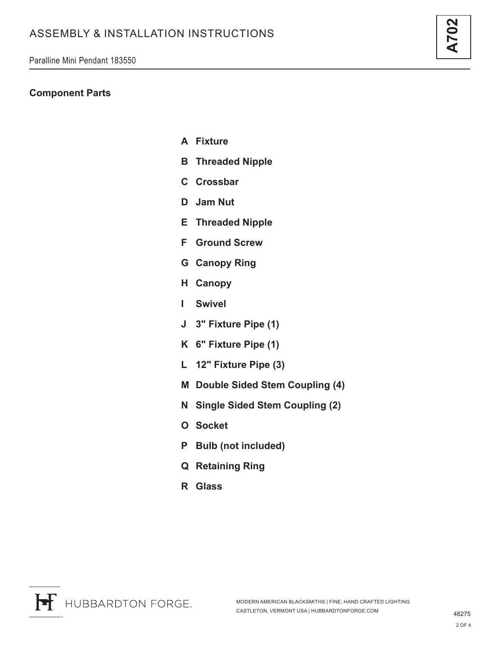#### **Component Parts**

- **A Fixture**
- **B Threaded Nipple**
- **C Crossbar**
- **D Jam Nut**
- **E Threaded Nipple**
- **F Ground Screw**
- **G Canopy Ring**
- **H Canopy**
- **I Swivel**
- **J 3" Fixture Pipe (1)**
- **K 6" Fixture Pipe (1)**
- **L 12" Fixture Pipe (3)**
- **M Double Sided Stem Coupling (4)**
- **N Single Sided Stem Coupling (2)**
- **O Socket**
- **P Bulb (not included)**
- **Q Retaining Ring**
- **R Glass**



**A702**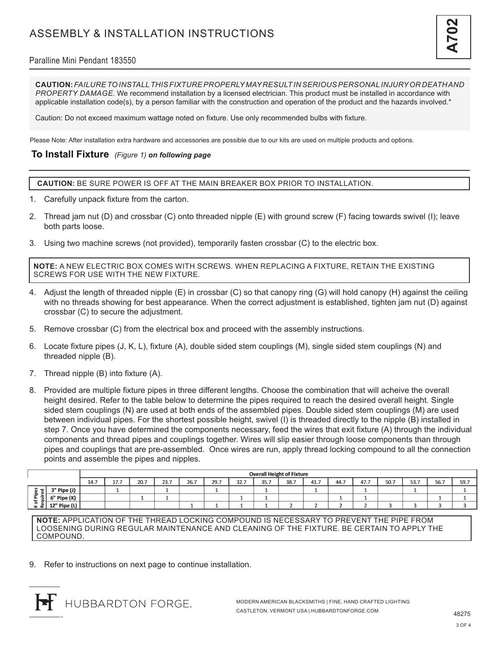## Paralline Mini Pendant 183550

**CAUTION:** *FAILURE TO INSTALL THIS FIXTURE PROPERLY MAY RESULT IN SERIOUS PERSONAL INJURY OR DEATH AND PROPERTY DAMAGE.* We recommend installation by a licensed electrician. This product must be installed in accordance with applicable installation code(s), by a person familiar with the construction and operation of the product and the hazards involved.\*

Caution: Do not exceed maximum wattage noted on fixture. Use only recommended bulbs with fixture.

Please Note: After installation extra hardware and accessories are possible due to our kits are used on multiple products and options.

## **To Install Fixture** *(Figure 1) on following page*

**CAUTION:** BE SURE POWER IS OFF AT THE MAIN BREAKER BOX PRIOR TO INSTALLATION.

- 1. Carefully unpack fixture from the carton.
- 2. Thread jam nut (D) and crossbar (C) onto threaded nipple (E) with ground screw (F) facing towards swivel (I); leave both parts loose.
- 3. Using two machine screws (not provided), temporarily fasten crossbar (C) to the electric box.

**NOTE:** A NEW ELECTRIC BOX COMES WITH SCREWS. WHEN REPLACING A FIXTURE, RETAIN THE EXISTING SCREWS FOR USE WITH THE NEW FIXTURE.

- 4. Adjust the length of threaded nipple (E) in crossbar (C) so that canopy ring (G) will hold canopy (H) against the ceiling with no threads showing for best appearance. When the correct adjustment is established, tighten jam nut (D) against crossbar (C) to secure the adjustment.
- 5. Remove crossbar (C) from the electrical box and proceed with the assembly instructions.
- 6. Locate fixture pipes (J, K, L), fixture (A), double sided stem couplings (M), single sided stem couplings (N) and threaded nipple (B).
- 7. Thread nipple (B) into fixture (A).
- 8. Provided are multiple fixture pipes in three different lengths. Choose the combination that will acheive the overall height desired. Refer to the table below to determine the pipes required to reach the desired overall height. Single sided stem couplings (N) are used at both ends of the assembled pipes. Double sided stem couplings (M) are used between individual pipes. For the shortest possible height, swivel (I) is threaded directly to the nipple (B) installed in step 7. Once you have determined the components necessary, feed the wires that exit fixture (A) through the individual components and thread pipes and couplings together. Wires will slip easier through loose components than through pipes and couplings that are pre-assembled. Once wires are run, apply thread locking compound to all the connection points and assemble the pipes and nipples.

|                                                          |              | <b>Overall Height of Fixture</b> |                                     |      |      |      |      |      |      |      |      |      |      |      |      |      |      |
|----------------------------------------------------------|--------------|----------------------------------|-------------------------------------|------|------|------|------|------|------|------|------|------|------|------|------|------|------|
|                                                          |              | 14.7                             | $\rightarrow$ $\rightarrow$<br>17.1 | 20.7 | 23.7 | 26.7 | 29.7 | 32.7 | 35.7 | 38.7 | 41.7 | 44.7 | 47.7 | 50.7 | 53.7 | 56.7 | 59.7 |
| w<br>ਰ।<br>G1<br>÷<br>∙ ∈<br>௨<br>-<br>$\leftarrow$<br>œ | 3" Pipe (J)  |                                  |                                     |      |      |      |      |      |      |      |      |      |      |      |      |      |      |
|                                                          | 6" Pipe (K)  |                                  |                                     |      |      |      |      |      |      |      |      |      |      |      |      |      |      |
|                                                          | 12" Pipe (L) |                                  |                                     |      |      |      |      |      |      |      |      |      |      |      |      |      |      |

**NOTE:** APPLICATION OF THE THREAD LOCKING COMPOUND IS NECESSARY TO PREVENT THE PIPE FROM LOOSENING DURING REGULAR MAINTENANCE AND CLEANING OF THE FIXTURE. BE CERTAIN TO APPLY THE COMPOUND.

9. Refer to instructions on next page to continue installation.